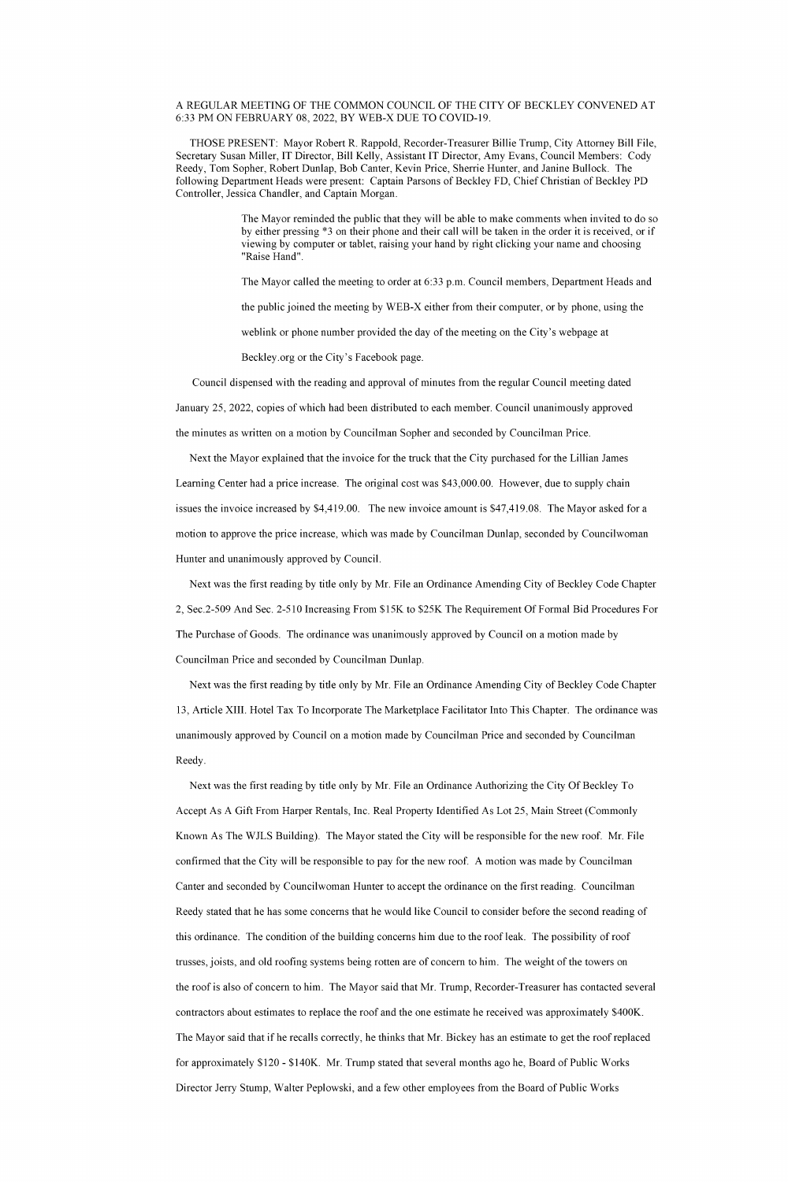## A REGULAR MEETING OF THE COMMON COUNCIL OF THE CITY OF BECKLEY CONVENED AT 6:33 PM ON FEBRUARY 08, 2022, BY WEB-X DUE TO COVID-19.

THOSE PRESENT: Mayor Robert R. Rappold, Recorder-Treasurer Billie Trump, City Attorney Bill File, Secretary Susan Miller, IT Director, Bill Kelly, Assistant IT Director, Amy Evans, Council Members: Cody Reedy, Tom Sopher, Robert Dunlap, Bob Canter, Kevin Price, Sherrie Hunter, and Janine Bullock. The following Department Heads were present: Captain Parsons of Beckley FD, Chief Christian of Beckley PD Controller, Jessica Chandler, and Captain Morgan.

> The Mayor reminded the public that they will be able to make comments when invited to do so by either pressing \*3 on their phone and their call will be taken in the order it is received, or if viewing by computer or tablet, raising your hand by right clicking your name and choosing Raise Hand".

The Mayor called the meeting to order at 6:33 p.m. Council members, Department Heads and the public joined the meeting by WEB-X either from their computer, or by phone, using the weblink or phone number provided the day of the meeting on the City's webpage at

Beckley.org or the City's Facebook page.

Council dispensed with the reading and approval of minutes from the regular Council meeting dated January 25, 2022, copies of which had been distributed to each member. Council unanimously approved

the minutes as written on a motion by Councilman Sopher and seconded by Councilman Price.

Next the Mayor explained that the invoice for the truck that the City purchased for the Lillian James Learning Center had a price increase. The original cost was \$43,000.00. However, due to supply chain issues the invoice increased by \$4,419.00. The new invoice amount is \$47,419.08. The Mayor asked for a motion to approve the price increase, which was made by Councilman Dunlap, seconded by Councilwoman Hunter and unanimously approved by Council.

Next was the first reading by title only by Mr. File an Ordinance Amending City of Beckley Code Chapter 2, Sec. 2-509 And Sec. 2-510 Increasing From \$15K to \$25K The Requirement Of Formal Bid Procedures For The Purchase of Goods. The ordinance was unanimously approved by Council on a motion made by Councilman Price and seconded by Councilman Dunlap.

Next was the first reading by title only by Mr. File an Ordinance Amending City of Beckley Code Chapter 13, Article XIII. Hotel Tax To Incorporate The Marketplace Facilitator Into This Chapter. The ordinance was unanimously approved by Council on a motion made by Councilman Price and seconded by Councilman Reedy.

Next was the first reading by title only by Mr. File an Ordinance Authorizing the City Of Beckley To Accept As A Gift From Harper Rentals, Inc. Real Property Identified As Lot 25, Main Street (Commonly

Known As The WJLS Building). The Mayor stated the City will be responsible for the new roof. Mr. File confirmed that the City will be responsible to pay for the new roof. A motion was made by Councilman Canter and seconded by Councilwoman Hunter to accept the ordinance on the first reading. Councilman Reedy stated that he has some concerns that he would like Council to consider before the second reading of this ordinance. The condition of the building concerns him due to the roof leak. The possibility of roof trusses, joists, and old roofing systems being rotten are of concern to him. The weight of the towers on the roof is also of concern to him. The Mayor said that Mr. Trump, Recorder-Treasurer has contacted several contractors about estimates to replace the roof and the one estimate he received was approximately \$400K. The Mayor said that if he recalls correctly, he thinks that Mr. Bickey has an estimate to get the roof replaced for approximately \$120 - \$140K. Mr. Trump stated that several months ago he, Board of Public Works Director Jerry Stump, Walter Peplowski, and a few other employees from the Board of Public Works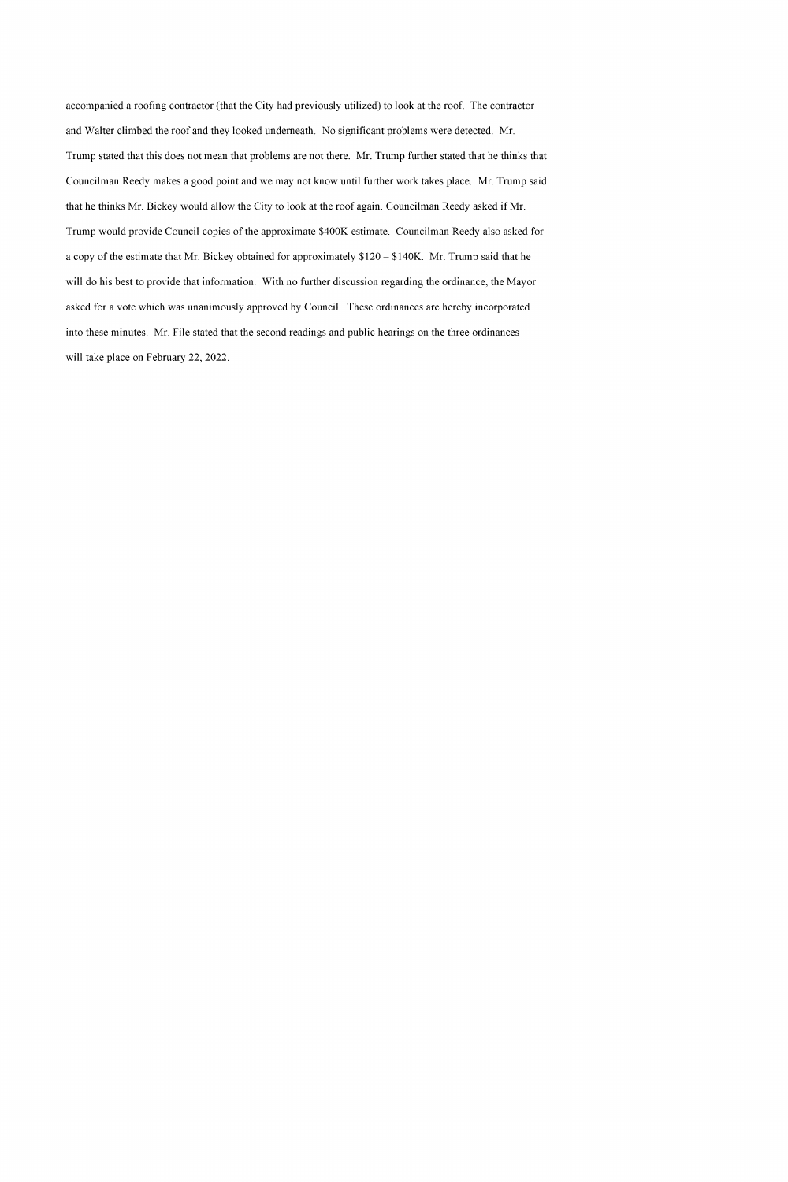accompanied a roofing contractor (that the City had previously utilized) to look at the roof. The contractor and Walter climbed the roof and they looked underneath. No significant problems were detected. Mr. Trump stated that this does not mean that problems are not there. Mr. Trump further stated that he thinks that Councilman Reedy makes a good point and we may not know until further work takes place. Mr. Trump said that he thinks Mr. Bickey would allow the City to look at the roof again. Councilman Reedy asked if Mr. Trump would provide Council copies of the approximate \$400K estimate. Councilman Reedy also asked for a copy of the estimate that Mr. Bickey obtained for approximately \$120 – \$140K. Mr. Trump said that he will do his best to provide that information. With no further discussion regarding the ordinance, the Mayor asked for a vote which was unanimously approved by Council. These ordinances are hereby incorporated into these minutes. Mr. File stated that the second readings and public hearings on the three ordinances will take place on February 22, 2022.